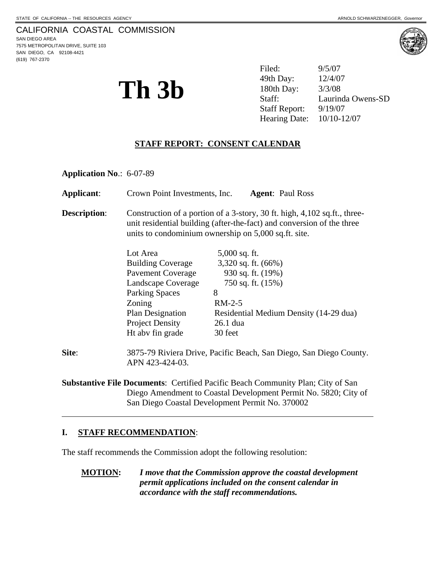# CALIFORNIA COASTAL COMMISSION

SAN DIEGO AREA 7575 METROPOLITAN DRIVE, SUITE 103 SAN DIEGO, CA 92108-4421 (619) 767-2370



**Th 3b**  $3^{49th \text{ Day:}}_{\text{Staff:}}$   $12/4/07$   $180th \text{ Day:}$   $3/3/08$  Laurind Filed: 9/5/07 49th Day: Laurinda Owens-SD Staff Report: 9/19/07 Hearing Date: 10/10-12/07

### **STAFF REPORT: CONSENT CALENDAR**

**Application No**.: 6-07-89

| Applicant:                                                                             | Crown Point Investments, Inc.                                                                                                                                                                               | <b>Agent: Paul Ross</b>                |
|----------------------------------------------------------------------------------------|-------------------------------------------------------------------------------------------------------------------------------------------------------------------------------------------------------------|----------------------------------------|
| <b>Description:</b>                                                                    | Construction of a portion of a 3-story, 30 ft. high, 4,102 sq.ft., three-<br>unit residential building (after-the-fact) and conversion of the three<br>units to condominium ownership on 5,000 sq.ft. site. |                                        |
|                                                                                        | Lot Area                                                                                                                                                                                                    | $5,000$ sq. ft.                        |
|                                                                                        | <b>Building Coverage</b>                                                                                                                                                                                    | 3,320 sq. ft. (66%)                    |
|                                                                                        | <b>Pavement Coverage</b>                                                                                                                                                                                    | 930 sq. ft. (19%)                      |
|                                                                                        | Landscape Coverage                                                                                                                                                                                          | 750 sq. ft. (15%)                      |
|                                                                                        | <b>Parking Spaces</b>                                                                                                                                                                                       | 8                                      |
|                                                                                        | Zoning                                                                                                                                                                                                      | $RM-2-5$                               |
|                                                                                        | Plan Designation                                                                                                                                                                                            | Residential Medium Density (14-29 dua) |
|                                                                                        | <b>Project Density</b>                                                                                                                                                                                      | $26.1$ dua                             |
|                                                                                        | Ht abv fin grade                                                                                                                                                                                            | 30 feet                                |
| Site:                                                                                  | 3875-79 Riviera Drive, Pacific Beach, San Diego, San Diego County.<br>APN 423-424-03.                                                                                                                       |                                        |
| <b>Substantive File Documents:</b> Certified Pacific Beach Community Plan: City of San |                                                                                                                                                                                                             |                                        |

**Substantive File Documents**: Certified Pacific Beach Community Plan; City of San Diego Amendment to Coastal Development Permit No. 5820; City of San Diego Coastal Development Permit No. 370002

## **I. STAFF RECOMMENDATION**:

 $\overline{a}$ 

The staff recommends the Commission adopt the following resolution:

**MOTION:** *I move that the Commission approve the coastal development permit applications included on the consent calendar in accordance with the staff recommendations.*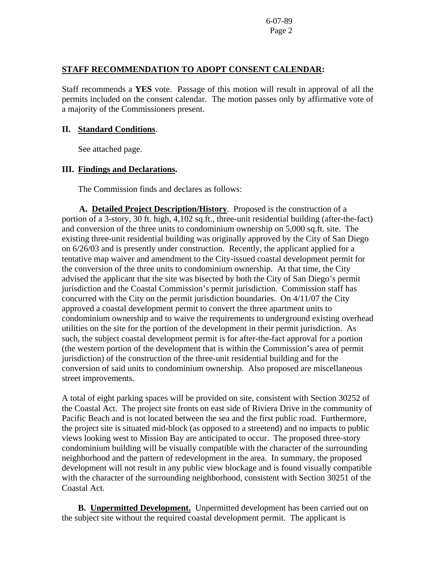6-07-89 Page 2

#### **STAFF RECOMMENDATION TO ADOPT CONSENT CALENDAR:**

Staff recommends a **YES** vote. Passage of this motion will result in approval of all the permits included on the consent calendar. The motion passes only by affirmative vote of a majority of the Commissioners present.

#### **II. Standard Conditions**.

See attached page.

#### **III. Findings and Declarations.**

The Commission finds and declares as follows:

 **A. Detailed Project Description/History**. Proposed is the construction of a portion of a 3-story, 30 ft. high, 4,102 sq.ft., three-unit residential building (after-the-fact) and conversion of the three units to condominium ownership on 5,000 sq.ft. site. The existing three-unit residential building was originally approved by the City of San Diego on 6/26/03 and is presently under construction. Recently, the applicant applied for a tentative map waiver and amendment to the City-issued coastal development permit for the conversion of the three units to condominium ownership. At that time, the City advised the applicant that the site was bisected by both the City of San Diego's permit jurisdiction and the Coastal Commission's permit jurisdiction. Commission staff has concurred with the City on the permit jurisdiction boundaries. On 4/11/07 the City approved a coastal development permit to convert the three apartment units to condominium ownership and to waive the requirements to underground existing overhead utilities on the site for the portion of the development in their permit jurisdiction. As such, the subject coastal development permit is for after-the-fact approval for a portion (the western portion of the development that is within the Commission's area of permit jurisdiction) of the construction of the three-unit residential building and for the conversion of said units to condominium ownership. Also proposed are miscellaneous street improvements.

A total of eight parking spaces will be provided on site, consistent with Section 30252 of the Coastal Act. The project site fronts on east side of Riviera Drive in the community of Pacific Beach and is not located between the sea and the first public road. Furthermore, the project site is situated mid-block (as opposed to a streetend) and no impacts to public views looking west to Mission Bay are anticipated to occur. The proposed three-story condominium building will be visually compatible with the character of the surrounding neighborhood and the pattern of redevelopment in the area. In summary, the proposed development will not result in any public view blockage and is found visually compatible with the character of the surrounding neighborhood, consistent with Section 30251 of the Coastal Act.

**B. Unpermitted Development.** Unpermitted development has been carried out on the subject site without the required coastal development permit. The applicant is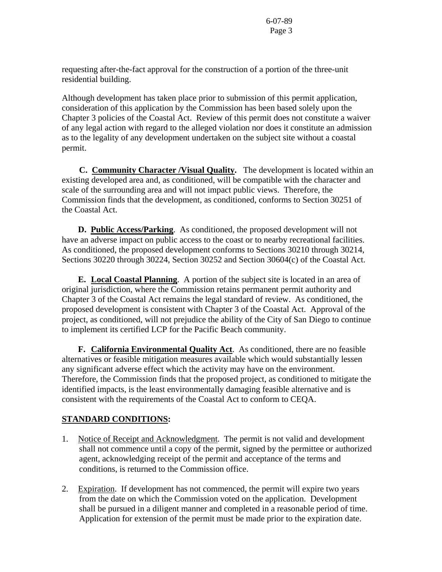6-07-89 Page 3

requesting after-the-fact approval for the construction of a portion of the three-unit residential building.

Although development has taken place prior to submission of this permit application, consideration of this application by the Commission has been based solely upon the Chapter 3 policies of the Coastal Act. Review of this permit does not constitute a waiver of any legal action with regard to the alleged violation nor does it constitute an admission as to the legality of any development undertaken on the subject site without a coastal permit.

 **C. Community Character /Visual Quality.** The development is located within an existing developed area and, as conditioned, will be compatible with the character and scale of the surrounding area and will not impact public views. Therefore, the Commission finds that the development, as conditioned, conforms to Section 30251 of the Coastal Act.

**D. Public Access/Parking**. As conditioned, the proposed development will not have an adverse impact on public access to the coast or to nearby recreational facilities. As conditioned, the proposed development conforms to Sections 30210 through 30214, Sections 30220 through 30224, Section 30252 and Section 30604(c) of the Coastal Act.

 **E. Local Coastal Planning**. A portion of the subject site is located in an area of original jurisdiction, where the Commission retains permanent permit authority and Chapter 3 of the Coastal Act remains the legal standard of review. As conditioned, the proposed development is consistent with Chapter 3 of the Coastal Act. Approval of the project, as conditioned, will not prejudice the ability of the City of San Diego to continue to implement its certified LCP for the Pacific Beach community.

 **F. California Environmental Quality Act**. As conditioned, there are no feasible alternatives or feasible mitigation measures available which would substantially lessen any significant adverse effect which the activity may have on the environment. Therefore, the Commission finds that the proposed project, as conditioned to mitigate the identified impacts, is the least environmentally damaging feasible alternative and is consistent with the requirements of the Coastal Act to conform to CEQA.

## **STANDARD CONDITIONS:**

- 1. Notice of Receipt and Acknowledgment. The permit is not valid and development shall not commence until a copy of the permit, signed by the permittee or authorized agent, acknowledging receipt of the permit and acceptance of the terms and conditions, is returned to the Commission office.
- 2. Expiration. If development has not commenced, the permit will expire two years from the date on which the Commission voted on the application. Development shall be pursued in a diligent manner and completed in a reasonable period of time. Application for extension of the permit must be made prior to the expiration date.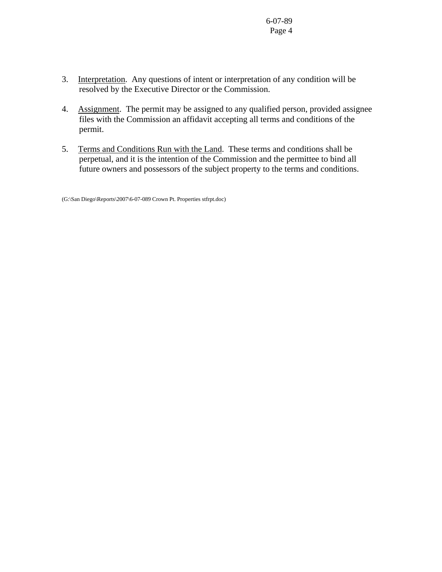6-07-89 Page 4

- 3. Interpretation. Any questions of intent or interpretation of any condition will be resolved by the Executive Director or the Commission.
- 4. Assignment. The permit may be assigned to any qualified person, provided assignee files with the Commission an affidavit accepting all terms and conditions of the permit.
- 5. Terms and Conditions Run with the Land. These terms and conditions shall be perpetual, and it is the intention of the Commission and the permittee to bind all future owners and possessors of the subject property to the terms and conditions.

(G:\San Diego\Reports\2007\6-07-089 Crown Pt. Properties stfrpt.doc)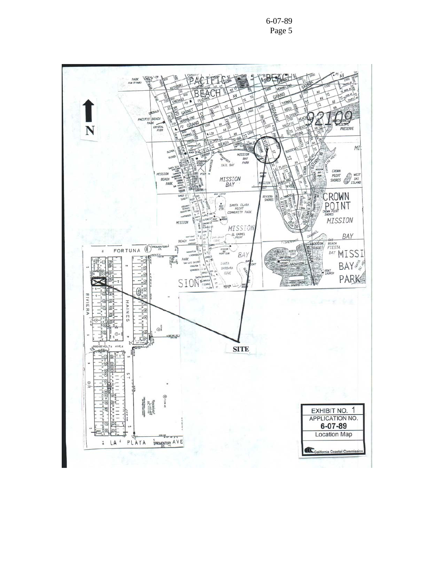

6-07-89 Page 5